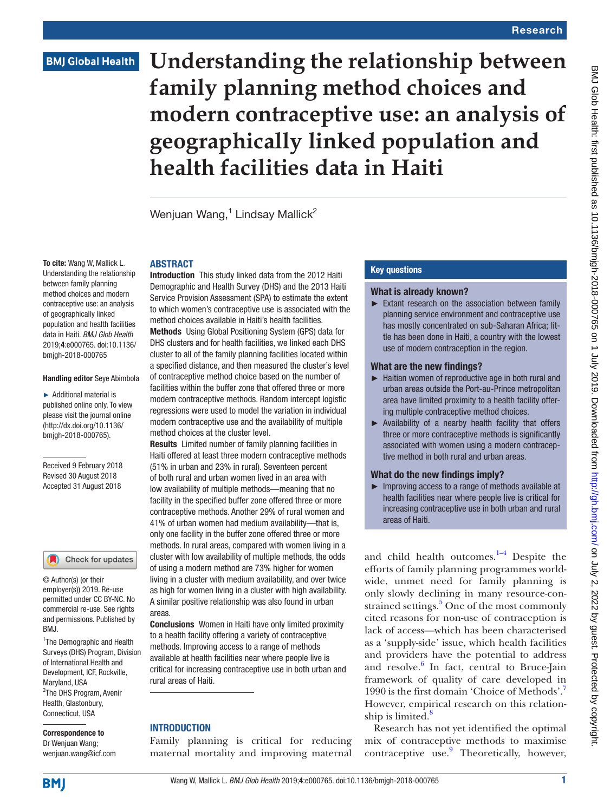# **BMJ Global Health**

# **Understanding the relationship between family planning method choices and modern contraceptive use: an analysis of geographically linked population and health facilities data in Haiti**

Wenjuan Wang, $^1$  Lindsay Mallick $^2$ 

#### **ABSTRACT**

To cite: Wang W, Mallick L. Understanding the relationship between family planning method choices and modern contraceptive use: an analysis of geographically linked population and health facilities data in Haiti. *BMJ Glob Health* 2019;4:e000765. doi:10.1136/ bmjgh-2018-000765

#### Handling editor Seye Abimbola

► Additional material is published online only. To view please visit the journal online ([http://dx.doi.org/10.1136/](http://dx.doi.org/10.1136/bmjgh-2018-000765) [bmjgh-2018-000765\)](http://dx.doi.org/10.1136/bmjgh-2018-000765).

Received 9 February 2018 Revised 30 August 2018 Accepted 31 August 2018

#### Check for updates

© Author(s) (or their employer(s)) 2019. Re-use permitted under CC BY-NC. No commercial re-use. See rights and permissions. Published by BMJ.

<sup>1</sup>The Demographic and Health Surveys (DHS) Program, Division of International Health and Development, ICF, Rockville, Maryland, USA <sup>2</sup>The DHS Program, Avenir Health, Glastonbury, Connecticut, USA

Correspondence to Dr Wenjuan Wang; wenjuan.wang@icf.com

Introduction This study linked data from the 2012 Haiti Demographic and Health Survey (DHS) and the 2013 Haiti Service Provision Assessment (SPA) to estimate the extent to which women's contraceptive use is associated with the method choices available in Haiti's health facilities. Methods Using Global Positioning System (GPS) data for DHS clusters and for health facilities, we linked each DHS cluster to all of the family planning facilities located within a specified distance, and then measured the cluster's level of contraceptive method choice based on the number of facilities within the buffer zone that offered three or more modern contraceptive methods. Random intercept logistic regressions were used to model the variation in individual modern contraceptive use and the availability of multiple method choices at the cluster level.

Results Limited number of family planning facilities in Haiti offered at least three modern contraceptive methods (51% in urban and 23% in rural). Seventeen percent of both rural and urban women lived in an area with low availability of multiple methods—meaning that no facility in the specified buffer zone offered three or more contraceptive methods. Another 29% of rural women and 41% of urban women had medium availability—that is, only one facility in the buffer zone offered three or more methods. In rural areas, compared with women living in a cluster with low availability of multiple methods, the odds of using a modern method are 73% higher for women living in a cluster with medium availability, and over twice as high for women living in a cluster with high availability. A similar positive relationship was also found in urban areas.

Conclusions Women in Haiti have only limited proximity to a health facility offering a variety of contraceptive methods. Improving access to a range of methods available at health facilities near where people live is critical for increasing contraceptive use in both urban and rural areas of Haiti.

# **INTRODUCTION**

Family planning is critical for reducing maternal mortality and improving maternal

# Key questions

#### What is already known?

► Extant research on the association between family planning service environment and contraceptive use has mostly concentrated on sub-Saharan Africa; little has been done in Haiti, a country with the lowest use of modern contraception in the region.

#### What are the new findings?

- ► Haitian women of reproductive age in both rural and urban areas outside the Port-au-Prince metropolitan area have limited proximity to a health facility offering multiple contraceptive method choices.
- ► Availability of a nearby health facility that offers three or more contraceptive methods is significantly associated with women using a modern contraceptive method in both rural and urban areas.

#### What do the new findings imply?

► Improving access to a range of methods available at health facilities near where people live is critical for increasing contraceptive use in both urban and rural areas of Haiti.

and child health outcomes. $1-4$  Despite the efforts of family planning programmes worldwide, unmet need for family planning is only slowly declining in many resource-con-strained settings.<sup>[5](#page-9-1)</sup> One of the most commonly cited reasons for non-use of contraception is lack of access—which has been characterised as a 'supply-side' issue, which health facilities and providers have the potential to address and resolve.<sup>[6](#page-9-2)</sup> In fact, central to Bruce-Jain framework of quality of care developed in 1990 is the first domain 'Choice of Methods'.[7](#page-9-3) However, empirical research on this relationship is limited. $8$ 

Research has not yet identified the optimal mix of contraceptive methods to maximise contraceptive use.<sup>[9](#page-9-5)</sup> Theoretically, however,

**BMI**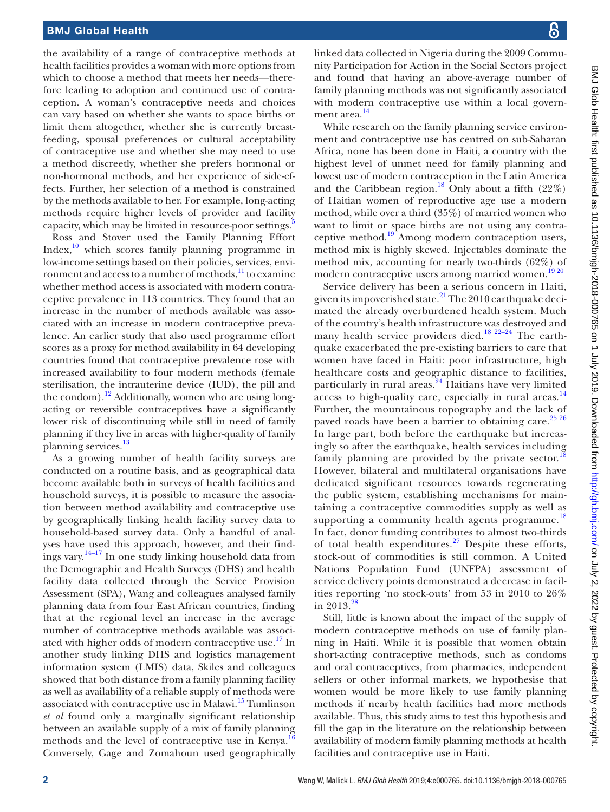the availability of a range of contraceptive methods at health facilities provides a woman with more options from which to choose a method that meets her needs—therefore leading to adoption and continued use of contraception. A woman's contraceptive needs and choices can vary based on whether she wants to space births or limit them altogether, whether she is currently breastfeeding, spousal preferences or cultural acceptability of contraceptive use and whether she may need to use a method discreetly, whether she prefers hormonal or non-hormonal methods, and her experience of side-effects. Further, her selection of a method is constrained by the methods available to her. For example, long-acting methods require higher levels of provider and facility capacity, which may be limited in resource-poor settings.<sup>[5](#page-9-1)</sup>

Ross and Stover used the Family Planning Effort Index, $\frac{10}{10}$  which scores family planning programme in low-income settings based on their policies, services, environment and access to a number of methods,<sup>11</sup> to examine whether method access is associated with modern contraceptive prevalence in 113 countries. They found that an increase in the number of methods available was associated with an increase in modern contraceptive prevalence. An earlier study that also used programme effort scores as a proxy for method availability in 64 developing countries found that contraceptive prevalence rose with increased availability to four modern methods (female sterilisation, the intrauterine device (IUD), the pill and the condom).<sup>12</sup> Additionally, women who are using longacting or reversible contraceptives have a significantly lower risk of discontinuing while still in need of family planning if they live in areas with higher-quality of family planning services.<sup>[13](#page-9-9)</sup>

As a growing number of health facility surveys are conducted on a routine basis, and as geographical data become available both in surveys of health facilities and household surveys, it is possible to measure the association between method availability and contraceptive use by geographically linking health facility survey data to household-based survey data. Only a handful of analyses have used this approach, however, and their findings vary. $\frac{14-17}{10}$  In one study linking household data from the Demographic and Health Surveys (DHS) and health facility data collected through the Service Provision Assessment (SPA), Wang and colleagues analysed family planning data from four East African countries, finding that at the regional level an increase in the average number of contraceptive methods available was associ-ated with higher odds of modern contraceptive use.<sup>[17](#page-9-11)</sup> In another study linking DHS and logistics management information system (LMIS) data, Skiles and colleagues showed that both distance from a family planning facility as well as availability of a reliable supply of methods were associated with contraceptive use in Malawi.[15](#page-9-12) Tumlinson *et al* found only a marginally significant relationship between an available supply of a mix of family planning methods and the level of contraceptive use in Kenya.<sup>[16](#page-9-13)</sup> Conversely, Gage and Zomahoun used geographically

linked data collected in Nigeria during the 2009 Community Participation for Action in the Social Sectors project and found that having an above-average number of family planning methods was not significantly associated with modern contraceptive use within a local govern-ment area.<sup>[14](#page-9-10)</sup>

While research on the family planning service environment and contraceptive use has centred on sub-Saharan Africa, none has been done in Haiti, a country with the highest level of unmet need for family planning and lowest use of modern contraception in the Latin America and the Caribbean region.<sup>[18](#page-9-14)</sup> Only about a fifth  $(22\%)$ of Haitian women of reproductive age use a modern method, while over a third (35%) of married women who want to limit or space births are not using any contraceptive method.<sup>19</sup> Among modern contraception users, method mix is highly skewed. Injectables dominate the method mix, accounting for nearly two-thirds (62%) of modern contraceptive users among married women.<sup>19 20</sup>

Service delivery has been a serious concern in Haiti, given its impoverished state.<sup>[21](#page-9-16)</sup> The 2010 earthquake decimated the already overburdened health system. Much of the country's health infrastructure was destroyed and many health service providers died.<sup>[18 22–24](#page-9-14)</sup> The earthquake exacerbated the pre-existing barriers to care that women have faced in Haiti: poor infrastructure, high healthcare costs and geographic distance to facilities, particularly in rural areas.<sup>[24](#page-9-17)</sup> Haitians have very limited access to high-quality care, especially in rural areas.<sup>[14](#page-9-10)</sup> Further, the mountainous topography and the lack of paved roads have been a barrier to obtaining care.<sup>[25 26](#page-9-18)</sup> In large part, both before the earthquake but increasingly so after the earthquake, health services including family planning are provided by the private sector.<sup>[18](#page-9-14)</sup> However, bilateral and multilateral organisations have dedicated significant resources towards regenerating the public system, establishing mechanisms for maintaining a contraceptive commodities supply as well as supporting a community health agents programme. $^{18}$  $^{18}$  $^{18}$ In fact, donor funding contributes to almost two-thirds of total health expenditures. $27$  Despite these efforts, stock-out of commodities is still common. A United Nations Population Fund (UNFPA) assessment of service delivery points demonstrated a decrease in facilities reporting 'no stock-outs' from 53 in 2010 to 26% in  $2013.^{28}$  $2013.^{28}$  $2013.^{28}$ 

Still, little is known about the impact of the supply of modern contraceptive methods on use of family planning in Haiti. While it is possible that women obtain short-acting contraceptive methods, such as condoms and oral contraceptives, from pharmacies, independent sellers or other informal markets, we hypothesise that women would be more likely to use family planning methods if nearby health facilities had more methods available. Thus, this study aims to test this hypothesis and fill the gap in the literature on the relationship between availability of modern family planning methods at health facilities and contraceptive use in Haiti.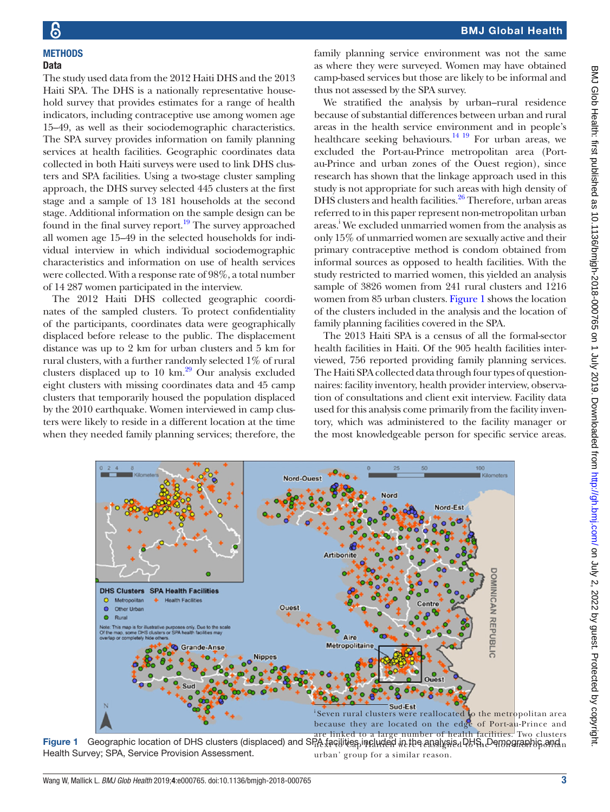#### BMJ Global Health

#### **METHODS Data**

The study used data from the 2012 Haiti DHS and the 2013 Haiti SPA. The DHS is a nationally representative household survey that provides estimates for a range of health indicators, including contraceptive use among women age 15–49, as well as their sociodemographic characteristics. The SPA survey provides information on family planning services at health facilities. Geographic coordinates data collected in both Haiti surveys were used to link DHS clusters and SPA facilities. Using a two-stage cluster sampling approach, the DHS survey selected 445 clusters at the first stage and a sample of 13 181 households at the second stage. Additional information on the sample design can be found in the final survey report.<sup>[19](#page-9-15)</sup> The survey approached all women age 15–49 in the selected households for individual interview in which individual sociodemographic characteristics and information on use of health services were collected. With a response rate of 98%, a total number of 14 287 women participated in the interview.

The 2012 Haiti DHS collected geographic coordinates of the sampled clusters. To protect confidentiality of the participants, coordinates data were geographically displaced before release to the public. The displacement distance was up to 2 km for urban clusters and 5 km for rural clusters, with a further randomly selected 1% of rural clusters displaced up to  $10 \text{ km}^2$ . Our analysis excluded eight clusters with missing coordinates data and 45 camp clusters that temporarily housed the population displaced by the 2010 earthquake. Women interviewed in camp clusters were likely to reside in a different location at the time when they needed family planning services; therefore, the family planning service environment was not the same as where they were surveyed. Women may have obtained camp-based services but those are likely to be informal and thus not assessed by the SPA survey.

We stratified the analysis by urban–rural residence because of substantial differences between urban and rural areas in the health service environment and in people's healthcare seeking behaviours.<sup>[14 19](#page-9-10)</sup> For urban areas, we excluded the Port-au-Prince metropolitan area (Portau-Prince and urban zones of the Ouest region), since research has shown that the linkage approach used in this study is not appropriate for such areas with high density of DHS clusters and health facilities.<sup>26</sup> Therefore, urban areas referred to in this paper represent non-metropolitan urban areas.<sup>i</sup> We excluded unmarried women from the analysis as only 15% of unmarried women are sexually active and their primary contraceptive method is condom obtained from informal sources as opposed to health facilities. With the study restricted to married women, this yielded an analysis sample of 3826 women from 241 rural clusters and 1216 women from 85 urban clusters. [Figure](#page-2-0) 1 shows the location of the clusters included in the analysis and the location of family planning facilities covered in the SPA.

The 2013 Haiti SPA is a census of all the formal-sector health facilities in Haiti. Of the 905 health facilities interviewed, 756 reported providing family planning services. The Haiti SPA collected data through four types of questionnaires: facility inventory, health provider interview, observation of consultations and client exit interview. Facility data used for this analysis come primarily from the facility inventory, which was administered to the facility manager or the most knowledgeable person for specific service areas.

 $100$ 



<span id="page-2-0"></span>Figure 1 Geographic location of DHS clusters (displaced) and SPA facilities included in the analysis a DHS, Demographic and n Health Survey; SPA, Service Provision Assessment. urban' group for a similar reason.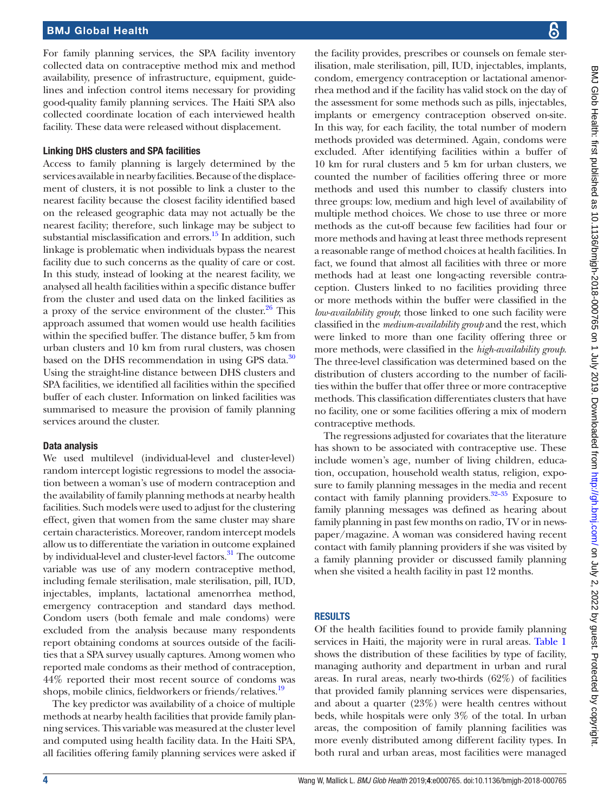For family planning services, the SPA facility inventory collected data on contraceptive method mix and method availability, presence of infrastructure, equipment, guidelines and infection control items necessary for providing good-quality family planning services. The Haiti SPA also collected coordinate location of each interviewed health facility. These data were released without displacement.

# Linking DHS clusters and SPA facilities

Access to family planning is largely determined by the services available in nearby facilities. Because of the displacement of clusters, it is not possible to link a cluster to the nearest facility because the closest facility identified based on the released geographic data may not actually be the nearest facility; therefore, such linkage may be subject to substantial misclassification and errors.<sup>[15](#page-9-12)</sup> In addition, such linkage is problematic when individuals bypass the nearest facility due to such concerns as the quality of care or cost. In this study, instead of looking at the nearest facility, we analysed all health facilities within a specific distance buffer from the cluster and used data on the linked facilities as a proxy of the service environment of the cluster. $26$  This approach assumed that women would use health facilities within the specified buffer. The distance buffer, 5 km from urban clusters and 10 km from rural clusters, was chosen based on the DHS recommendation in using GPS data. $30$ Using the straight-line distance between DHS clusters and SPA facilities, we identified all facilities within the specified buffer of each cluster. Information on linked facilities was summarised to measure the provision of family planning services around the cluster.

#### Data analysis

We used multilevel (individual-level and cluster-level) random intercept logistic regressions to model the association between a woman's use of modern contraception and the availability of family planning methods at nearby health facilities. Such models were used to adjust for the clustering effect, given that women from the same cluster may share certain characteristics. Moreover, random intercept models allow us to differentiate the variation in outcome explained by individual-level and cluster-level factors.<sup>[31](#page-9-24)</sup> The outcome variable was use of any modern contraceptive method, including female sterilisation, male sterilisation, pill, IUD, injectables, implants, lactational amenorrhea method, emergency contraception and standard days method. Condom users (both female and male condoms) were excluded from the analysis because many respondents report obtaining condoms at sources outside of the facilities that a SPA survey usually captures. Among women who reported male condoms as their method of contraception, 44% reported their most recent source of condoms was shops, mobile clinics, fieldworkers or friends/relatives.<sup>19</sup>

The key predictor was availability of a choice of multiple methods at nearby health facilities that provide family planning services. This variable was measured at the cluster level and computed using health facility data. In the Haiti SPA, all facilities offering family planning services were asked if

the facility provides, prescribes or counsels on female sterilisation, male sterilisation, pill, IUD, injectables, implants, condom, emergency contraception or lactational amenorrhea method and if the facility has valid stock on the day of the assessment for some methods such as pills, injectables, implants or emergency contraception observed on-site. In this way, for each facility, the total number of modern methods provided was determined. Again, condoms were excluded. After identifying facilities within a buffer of 10 km for rural clusters and 5 km for urban clusters, we counted the number of facilities offering three or more methods and used this number to classify clusters into three groups: low, medium and high level of availability of multiple method choices. We chose to use three or more methods as the cut-off because few facilities had four or more methods and having at least three methods represent a reasonable range of method choices at health facilities. In fact, we found that almost all facilities with three or more methods had at least one long-acting reversible contraception. Clusters linked to no facilities providing three or more methods within the buffer were classified in the *low-availability group*; those linked to one such facility were classified in the *medium-availability group* and the rest, which were linked to more than one facility offering three or more methods, were classified in the *high-availability group*. The three-level classification was determined based on the distribution of clusters according to the number of facilities within the buffer that offer three or more contraceptive methods. This classification differentiates clusters that have no facility, one or some facilities offering a mix of modern contraceptive methods.

The regressions adjusted for covariates that the literature has shown to be associated with contraceptive use. These include women's age, number of living children, education, occupation, household wealth status, religion, exposure to family planning messages in the media and recent contact with family planning providers. $32-35$  Exposure to family planning messages was defined as hearing about family planning in past few months on radio, TV or in newspaper/magazine. A woman was considered having recent contact with family planning providers if she was visited by a family planning provider or discussed family planning when she visited a health facility in past 12 months.

# **RESULTS**

Of the health facilities found to provide family planning services in Haiti, the majority were in rural areas. [Table](#page-4-0) 1 shows the distribution of these facilities by type of facility, managing authority and department in urban and rural areas. In rural areas, nearly two-thirds (62%) of facilities that provided family planning services were dispensaries, and about a quarter (23%) were health centres without beds, while hospitals were only 3% of the total. In urban areas, the composition of family planning facilities was more evenly distributed among different facility types. In both rural and urban areas, most facilities were managed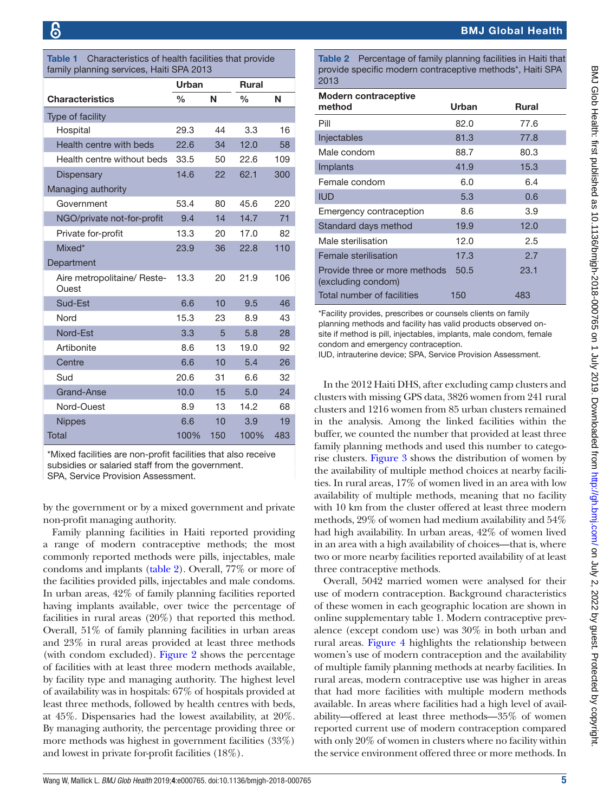<span id="page-4-0"></span>Table 1 Characteristics of health facilities that provide family planning services, Haiti SPA 2013

|                                      | Urban         |     | Rural |     |
|--------------------------------------|---------------|-----|-------|-----|
| <b>Characteristics</b>               | $\frac{0}{0}$ | N   | $\%$  | N   |
| Type of facility                     |               |     |       |     |
| Hospital                             | 29.3          | 44  | 3.3   | 16  |
| Health centre with beds              | 22.6          | 34  | 12.0  | 58  |
| Health centre without beds           | 33.5          | 50  | 22.6  | 109 |
| Dispensary                           | 14.6          | 22  | 62.1  | 300 |
| Managing authority                   |               |     |       |     |
| Government                           | 53.4          | 80  | 45.6  | 220 |
| NGO/private not-for-profit           | 9.4           | 14  | 14.7  | 71  |
| Private for-profit                   | 13.3          | 20  | 17.0  | 82  |
| Mixed*                               | 23.9          | 36  | 22.8  | 110 |
| Department                           |               |     |       |     |
| Aire metropolitaine/ Reste-<br>Ouest | 13.3          | 20  | 21.9  | 106 |
| Sud-Est                              | 6.6           | 10  | 9.5   | 46  |
| Nord                                 | 15.3          | 23  | 8.9   | 43  |
| Nord-Est                             | 3.3           | 5   | 5.8   | 28  |
| Artibonite                           | 8.6           | 13  | 19.0  | 92  |
| Centre                               | 6.6           | 10  | 5.4   | 26  |
| Sud                                  | 20.6          | 31  | 6.6   | 32  |
| <b>Grand-Anse</b>                    | 10.0          | 15  | 5.0   | 24  |
| Nord-Ouest                           | 8.9           | 13  | 14.2  | 68  |
| <b>Nippes</b>                        | 6.6           | 10  | 3.9   | 19  |
| Total                                | 100%          | 150 | 100%  | 483 |

\*Mixed facilities are non-profit facilities that also receive subsidies or salaried staff from the government. SPA, Service Provision Assessment.

by the government or by a mixed government and private non-profit managing authority.

Family planning facilities in Haiti reported providing a range of modern contraceptive methods; the most commonly reported methods were pills, injectables, male condoms and implants [\(table](#page-4-1) 2). Overall, 77% or more of the facilities provided pills, injectables and male condoms. In urban areas, 42% of family planning facilities reported having implants available, over twice the percentage of facilities in rural areas (20%) that reported this method. Overall, 51% of family planning facilities in urban areas and 23% in rural areas provided at least three methods (with condom excluded). [Figure](#page-5-0) 2 shows the percentage of facilities with at least three modern methods available, by facility type and managing authority. The highest level of availability was in hospitals: 67% of hospitals provided at least three methods, followed by health centres with beds, at 45%. Dispensaries had the lowest availability, at 20%. By managing authority, the percentage providing three or more methods was highest in government facilities (33%) and lowest in private for-profit facilities (18%).

<span id="page-4-1"></span>Table 2 Percentage of family planning facilities in Haiti that provide specific modern contraceptive methods\*, Haiti SPA 2013

| <b>Modern contraceptive</b>                         |       |       |
|-----------------------------------------------------|-------|-------|
| method                                              | Urban | Rural |
| Pill                                                | 82.0  | 77.6  |
| Injectables                                         | 81.3  | 77.8  |
| Male condom                                         | 88.7  | 80.3  |
| <b>Implants</b>                                     | 41.9  | 15.3  |
| Female condom                                       | 6.0   | 6.4   |
| <b>IUD</b>                                          | 5.3   | 0.6   |
| Emergency contraception                             | 8.6   | 3.9   |
| Standard days method                                | 19.9  | 12.0  |
| Male sterilisation                                  | 12.0  | 2.5   |
| Female sterilisation                                | 17.3  | 2.7   |
| Provide three or more methods<br>(excluding condom) | 50.5  | 23.1  |
| Total number of facilities                          | 150   | 483   |

\*Facility provides, prescribes or counsels clients on family planning methods and facility has valid products observed onsite if method is pill, injectables, implants, male condom, female condom and emergency contraception.

IUD, intrauterine device; SPA, Service Provision Assessment.

In the 2012 Haiti DHS, after excluding camp clusters and clusters with missing GPS data, 3826 women from 241 rural clusters and 1216 women from 85 urban clusters remained in the analysis. Among the linked facilities within the buffer, we counted the number that provided at least three family planning methods and used this number to categorise clusters. [Figure](#page-5-1) 3 shows the distribution of women by the availability of multiple method choices at nearby facilities. In rural areas, 17% of women lived in an area with low availability of multiple methods, meaning that no facility with 10 km from the cluster offered at least three modern methods, 29% of women had medium availability and 54% had high availability. In urban areas, 42% of women lived in an area with a high availability of choices—that is, where two or more nearby facilities reported availability of at least three contraceptive methods.

Overall, 5042 married women were analysed for their use of modern contraception. Background characteristics of these women in each geographic location are shown in [online supplementary table 1.](https://dx.doi.org/10.1136/bmjgh-2018-000765) Modern contraceptive prevalence (except condom use) was 30% in both urban and rural areas. [Figure](#page-6-0) 4 highlights the relationship between women's use of modern contraception and the availability of multiple family planning methods at nearby facilities. In rural areas, modern contraceptive use was higher in areas that had more facilities with multiple modern methods available. In areas where facilities had a high level of availability—offered at least three methods—35% of women reported current use of modern contraception compared with only 20% of women in clusters where no facility within the service environment offered three or more methods. In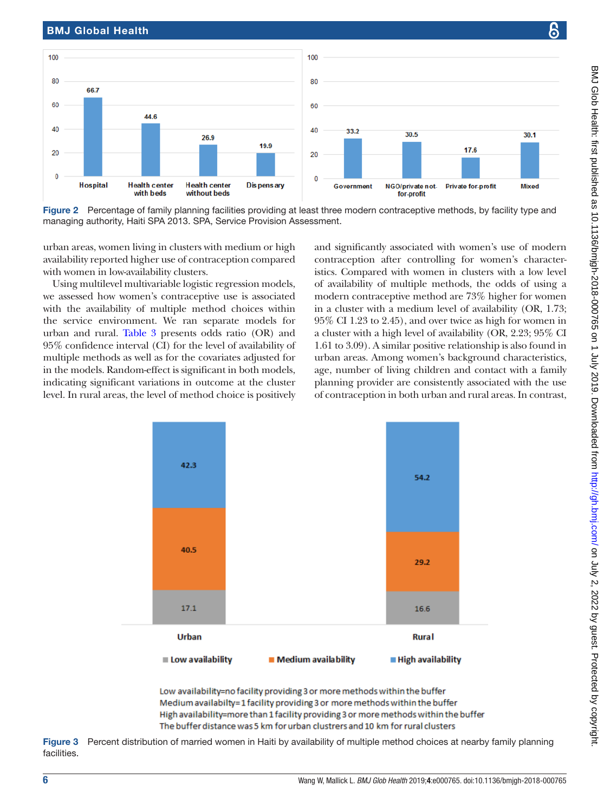

<span id="page-5-0"></span>Figure 2 Percentage of family planning facilities providing at least three modern contraceptive methods, by facility type and managing authority, Haiti SPA 2013. SPA, Service Provision Assessment.

urban areas, women living in clusters with medium or high availability reported higher use of contraception compared with women in low-availability clusters.

BMJ Global Health

Using multilevel multivariable logistic regression models, we assessed how women's contraceptive use is associated with the availability of multiple method choices within the service environment. We ran separate models for urban and rural. [Table](#page-7-0) 3 presents odds ratio (OR) and 95% confidence interval (CI) for the level of availability of multiple methods as well as for the covariates adjusted for in the models. Random-effect is significant in both models, indicating significant variations in outcome at the cluster level. In rural areas, the level of method choice is positively

and significantly associated with women's use of modern contraception after controlling for women's characteristics. Compared with women in clusters with a low level of availability of multiple methods, the odds of using a modern contraceptive method are 73% higher for women in a cluster with a medium level of availability (OR, 1.73; 95% CI 1.23 to 2.45), and over twice as high for women in a cluster with a high level of availability (OR, 2.23; 95% CI 1.61 to 3.09). A similar positive relationship is also found in urban areas. Among women's background characteristics, age, number of living children and contact with a family planning provider are consistently associated with the use of contraception in both urban and rural areas. In contrast,



<span id="page-5-1"></span>Low availability=no facility providing 3 or more methods within the buffer Medium availabilty=1 facility providing 3 or more methods within the buffer High availability=more than 1 facility providing 3 or more methods within the buffer The buffer distance was 5 km for urban clustrers and 10 km for rural clusters

Figure 3 Percent distribution of married women in Haiti by availability of multiple method choices at nearby family planning facilities.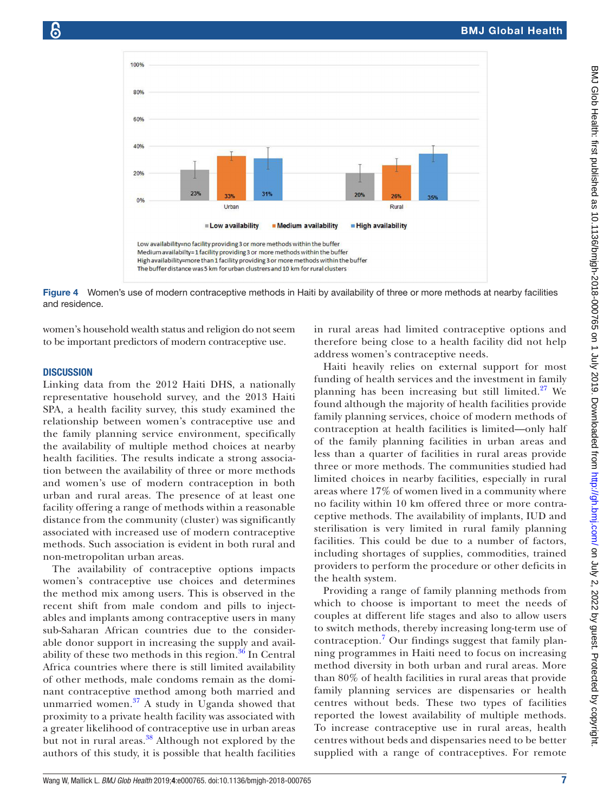

Figure 4 Women's use of modern contraceptive methods in Haiti by availability of three or more methods at nearby facilities and residence.

women's household wealth status and religion do not seem to be important predictors of modern contraceptive use.

#### **DISCUSSION**

Linking data from the 2012 Haiti DHS, a nationally representative household survey, and the 2013 Haiti SPA, a health facility survey, this study examined the relationship between women's contraceptive use and the family planning service environment, specifically the availability of multiple method choices at nearby health facilities. The results indicate a strong association between the availability of three or more methods and women's use of modern contraception in both urban and rural areas. The presence of at least one facility offering a range of methods within a reasonable distance from the community (cluster) was significantly associated with increased use of modern contraceptive methods. Such association is evident in both rural and non-metropolitan urban areas.

The availability of contraceptive options impacts women's contraceptive use choices and determines the method mix among users. This is observed in the recent shift from male condom and pills to injectables and implants among contraceptive users in many sub-Saharan African countries due to the considerable donor support in increasing the supply and availability of these two methods in this region. $36$  In Central Africa countries where there is still limited availability of other methods, male condoms remain as the dominant contraceptive method among both married and unmarried women. $37$  A study in Uganda showed that proximity to a private health facility was associated with a greater likelihood of contraceptive use in urban areas but not in rural areas.<sup>[38](#page-9-28)</sup> Although not explored by the authors of this study, it is possible that health facilities

<span id="page-6-0"></span>in rural areas had limited contraceptive options and therefore being close to a health facility did not help address women's contraceptive needs.

Haiti heavily relies on external support for most funding of health services and the investment in family planning has been increasing but still limited. $27$  We found although the majority of health facilities provide family planning services, choice of modern methods of contraception at health facilities is limited—only half of the family planning facilities in urban areas and less than a quarter of facilities in rural areas provide three or more methods. The communities studied had limited choices in nearby facilities, especially in rural areas where 17% of women lived in a community where no facility within 10 km offered three or more contraceptive methods. The availability of implants, IUD and sterilisation is very limited in rural family planning facilities. This could be due to a number of factors, including shortages of supplies, commodities, trained providers to perform the procedure or other deficits in the health system.

Providing a range of family planning methods from which to choose is important to meet the needs of couples at different life stages and also to allow users to switch methods, thereby increasing long-term use of contraception.<sup>[7](#page-9-3)</sup> Our findings suggest that family planning programmes in Haiti need to focus on increasing method diversity in both urban and rural areas. More than 80% of health facilities in rural areas that provide family planning services are dispensaries or health centres without beds. These two types of facilities reported the lowest availability of multiple methods. To increase contraceptive use in rural areas, health centres without beds and dispensaries need to be better supplied with a range of contraceptives. For remote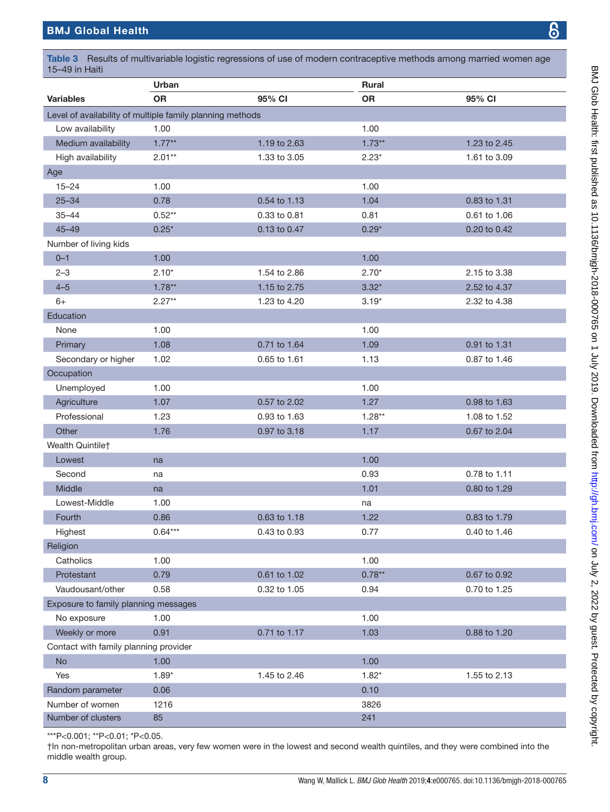<span id="page-7-0"></span>

|                                                           | Urban     |              | Rural     |              |
|-----------------------------------------------------------|-----------|--------------|-----------|--------------|
| <b>Variables</b>                                          | <b>OR</b> | 95% CI       | <b>OR</b> | 95% CI       |
| Level of availability of multiple family planning methods |           |              |           |              |
| Low availability                                          | 1.00      |              | 1.00      |              |
| Medium availability                                       | $1.77**$  | 1.19 to 2.63 | $1.73**$  | 1.23 to 2.45 |
| High availability                                         | $2.01**$  | 1.33 to 3.05 | $2.23*$   | 1.61 to 3.09 |
| Age                                                       |           |              |           |              |
| $15 - 24$                                                 | 1.00      |              | 1.00      |              |
| $25 - 34$                                                 | 0.78      | 0.54 to 1.13 | 1.04      | 0.83 to 1.31 |
| $35 - 44$                                                 | $0.52**$  | 0.33 to 0.81 | 0.81      | 0.61 to 1.06 |
| $45 - 49$                                                 | $0.25*$   | 0.13 to 0.47 | $0.29*$   | 0.20 to 0.42 |
| Number of living kids                                     |           |              |           |              |
| $0 - 1$                                                   | 1.00      |              | 1.00      |              |
| $2 - 3$                                                   | $2.10*$   | 1.54 to 2.86 | $2.70*$   | 2.15 to 3.38 |
| $4 - 5$                                                   | $1.78**$  | 1.15 to 2.75 | $3.32*$   | 2.52 to 4.37 |
| $6+$                                                      | $2.27**$  | 1.23 to 4.20 | $3.19*$   | 2.32 to 4.38 |
| Education                                                 |           |              |           |              |
| None                                                      | 1.00      |              | 1.00      |              |
| Primary                                                   | 1.08      | 0.71 to 1.64 | 1.09      | 0.91 to 1.31 |
| Secondary or higher                                       | 1.02      | 0.65 to 1.61 | 1.13      | 0.87 to 1.46 |
| Occupation                                                |           |              |           |              |
| Unemployed                                                | 1.00      |              | 1.00      |              |
| Agriculture                                               | 1.07      | 0.57 to 2.02 | 1.27      | 0.98 to 1.63 |
| Professional                                              | 1.23      | 0.93 to 1.63 | $1.28**$  | 1.08 to 1.52 |
| Other                                                     | 1.76      | 0.97 to 3.18 | 1.17      | 0.67 to 2.04 |
| Wealth Quintile+                                          |           |              |           |              |
| Lowest                                                    | na        |              | 1.00      |              |
| Second                                                    | na        |              | 0.93      | 0.78 to 1.11 |
| Middle                                                    | na        |              | 1.01      | 0.80 to 1.29 |
| Lowest-Middle                                             | 1.00      |              | na        |              |
| Fourth                                                    | 0.86      | 0.63 to 1.18 | 1.22      | 0.83 to 1.79 |
| Highest                                                   | $0.64***$ | 0.43 to 0.93 | 0.77      | 0.40 to 1.46 |
| Religion                                                  |           |              |           |              |
| Catholics                                                 | 1.00      |              | 1.00      |              |
| Protestant                                                | 0.79      | 0.61 to 1.02 | $0.78**$  | 0.67 to 0.92 |
| Vaudousant/other                                          | 0.58      | 0.32 to 1.05 | 0.94      | 0.70 to 1.25 |
| Exposure to family planning messages                      |           |              |           |              |
| No exposure                                               | 1.00      |              | 1.00      |              |
| Weekly or more                                            | 0.91      | 0.71 to 1.17 | 1.03      | 0.88 to 1.20 |
| Contact with family planning provider                     |           |              |           |              |
| No                                                        | 1.00      |              | 1.00      |              |
| Yes                                                       | $1.89*$   | 1.45 to 2.46 | $1.82*$   | 1.55 to 2.13 |
| Random parameter                                          | 0.06      |              | 0.10      |              |
| Number of women                                           | 1216      |              | 3826      |              |
| Number of clusters                                        | 85        |              | 241       |              |

†In non-metropolitan urban areas, very few women were in the lowest and second wealth quintiles, and they were combined into the middle wealth group.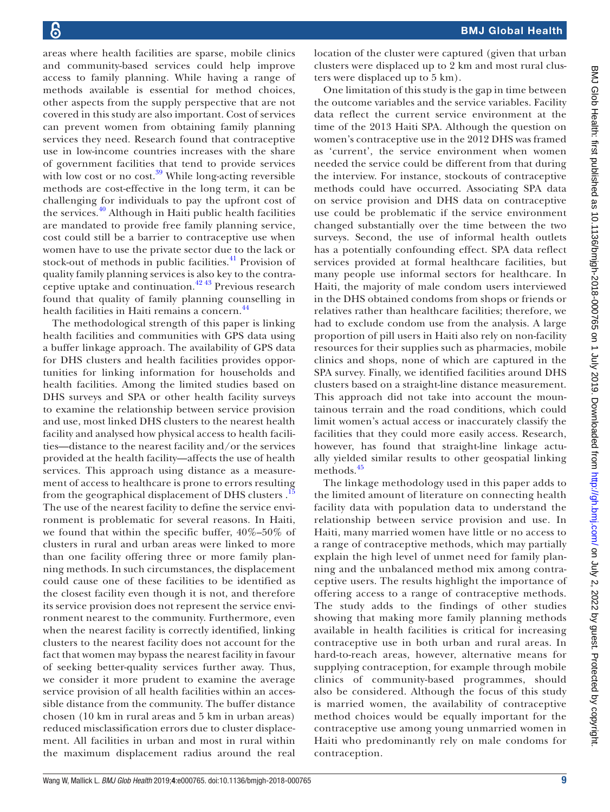areas where health facilities are sparse, mobile clinics and community-based services could help improve access to family planning. While having a range of methods available is essential for method choices, other aspects from the supply perspective that are not covered in this study are also important. Cost of services can prevent women from obtaining family planning services they need. Research found that contraceptive use in low-income countries increases with the share of government facilities that tend to provide services with low cost or no cost.<sup>39</sup> While long-acting reversible methods are cost-effective in the long term, it can be challenging for individuals to pay the upfront cost of the services.[40](#page-9-30) Although in Haiti public health facilities are mandated to provide free family planning service, cost could still be a barrier to contraceptive use when women have to use the private sector due to the lack or stock-out of methods in public facilities.<sup>[41](#page-9-31)</sup> Provision of quality family planning services is also key to the contraceptive uptake and continuation. $4243$  Previous research found that quality of family planning counselling in health facilities in Haiti remains a concern.<sup>[44](#page-9-33)</sup>

The methodological strength of this paper is linking health facilities and communities with GPS data using a buffer linkage approach. The availability of GPS data for DHS clusters and health facilities provides opportunities for linking information for households and health facilities. Among the limited studies based on DHS surveys and SPA or other health facility surveys to examine the relationship between service provision and use, most linked DHS clusters to the nearest health facility and analysed how physical access to health facilities—distance to the nearest facility and/or the services provided at the health facility—affects the use of health services. This approach using distance as a measurement of access to healthcare is prone to errors resulting from the geographical displacement of DHS clusters .[15](#page-9-12) The use of the nearest facility to define the service environment is problematic for several reasons. In Haiti, we found that within the specific buffer, 40%–50% of clusters in rural and urban areas were linked to more than one facility offering three or more family planning methods. In such circumstances, the displacement could cause one of these facilities to be identified as the closest facility even though it is not, and therefore its service provision does not represent the service environment nearest to the community. Furthermore, even when the nearest facility is correctly identified, linking clusters to the nearest facility does not account for the fact that women may bypass the nearest facility in favour of seeking better-quality services further away. Thus, we consider it more prudent to examine the average service provision of all health facilities within an accessible distance from the community. The buffer distance chosen (10 km in rural areas and 5 km in urban areas) reduced misclassification errors due to cluster displacement. All facilities in urban and most in rural within the maximum displacement radius around the real

location of the cluster were captured (given that urban clusters were displaced up to 2 km and most rural clusters were displaced up to 5 km).

One limitation of this study is the gap in time between the outcome variables and the service variables. Facility data reflect the current service environment at the time of the 2013 Haiti SPA. Although the question on women's contraceptive use in the 2012 DHS was framed as 'current', the service environment when women needed the service could be different from that during the interview. For instance, stockouts of contraceptive methods could have occurred. Associating SPA data on service provision and DHS data on contraceptive use could be problematic if the service environment changed substantially over the time between the two surveys. Second, the use of informal health outlets has a potentially confounding effect. SPA data reflect services provided at formal healthcare facilities, but many people use informal sectors for healthcare. In Haiti, the majority of male condom users interviewed in the DHS obtained condoms from shops or friends or relatives rather than healthcare facilities; therefore, we had to exclude condom use from the analysis. A large proportion of pill users in Haiti also rely on non-facility resources for their supplies such as pharmacies, mobile clinics and shops, none of which are captured in the SPA survey. Finally, we identified facilities around DHS clusters based on a straight-line distance measurement. This approach did not take into account the mountainous terrain and the road conditions, which could limit women's actual access or inaccurately classify the facilities that they could more easily access. Research, however, has found that straight-line linkage actually yielded similar results to other geospatial linking methods.[45](#page-9-34)

The linkage methodology used in this paper adds to the limited amount of literature on connecting health facility data with population data to understand the relationship between service provision and use. In Haiti, many married women have little or no access to a range of contraceptive methods, which may partially explain the high level of unmet need for family planning and the unbalanced method mix among contraceptive users. The results highlight the importance of offering access to a range of contraceptive methods. The study adds to the findings of other studies showing that making more family planning methods available in health facilities is critical for increasing contraceptive use in both urban and rural areas. In hard-to-reach areas, however, alternative means for supplying contraception, for example through mobile clinics of community-based programmes, should also be considered. Although the focus of this study is married women, the availability of contraceptive method choices would be equally important for the contraceptive use among young unmarried women in Haiti who predominantly rely on male condoms for contraception.